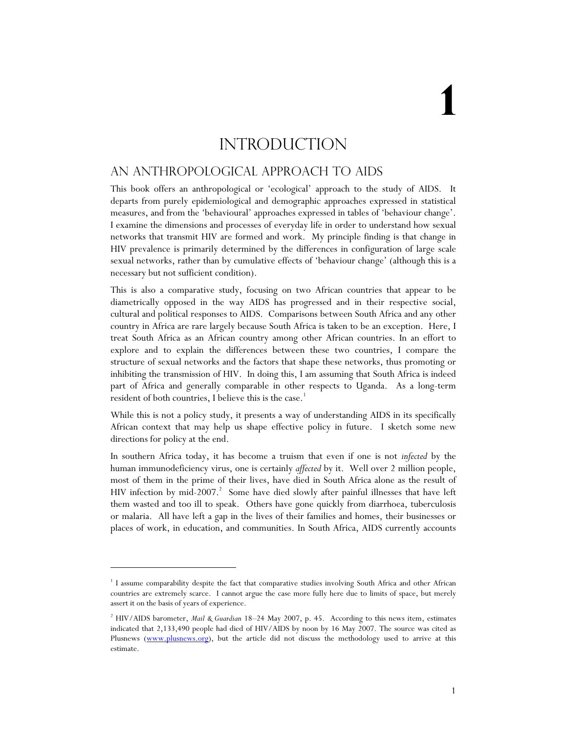# **1**

## INTRODUCTION

#### An Anthropological approach to AIDS

This book offers an anthropological or 'ecological' approach to the study of AIDS. It departs from purely epidemiological and demographic approaches expressed in statistical measures, and from the 'behavioural' approaches expressed in tables of 'behaviour change'. I examine the dimensions and processes of everyday life in order to understand how sexual networks that transmit HIV are formed and work. My principle finding is that change in HIV prevalence is primarily determined by the differences in configuration of large scale sexual networks, rather than by cumulative effects of 'behaviour change' (although this is a necessary but not sufficient condition).

This is also a comparative study, focusing on two African countries that appear to be diametrically opposed in the way AIDS has progressed and in their respective social, cultural and political responses to AIDS. Comparisons between South Africa and any other country in Africa are rare largely because South Africa is taken to be an exception. Here, I treat South Africa as an African country among other African countries. In an effort to explore and to explain the differences between these two countries, I compare the structure of sexual networks and the factors that shape these networks, thus promoting or inhibiting the transmission of HIV. In doing this, I am assuming that South Africa is indeed part of Africa and generally comparable in other respects to Uganda. As a long-term resident of both countries, I believe this is the case.<sup>1</sup>

While this is not a policy study, it presents a way of understanding AIDS in its specifically African context that may help us shape effective policy in future. I sketch some new directions for policy at the end.

In southern Africa today, it has become a truism that even if one is not *infected* by the human immunodeficiency virus, one is certainly *affected* by it. Well over 2 million people, most of them in the prime of their lives, have died in South Africa alone as the result of HIV infection by mid-2007.<sup>2</sup> Some have died slowly after painful illnesses that have left them wasted and too ill to speak. Others have gone quickly from diarrhoea, tuberculosis or malaria. All have left a gap in the lives of their families and homes, their businesses or places of work, in education, and communities. In South Africa, AIDS currently accounts

<sup>&</sup>lt;sup>1</sup> I assume comparability despite the fact that comparative studies involving South Africa and other African countries are extremely scarce. I cannot argue the case more fully here due to limits of space, but merely assert it on the basis of years of experience.

<sup>&</sup>lt;sup>2</sup> HIV/AIDS barometer, *Mail & Guardian* 18–24 May 2007, p. 45. According to this news item, estimates indicated that 2,133,490 people had died of HIV/AIDS by noon by 16 May 2007. The source was cited as Plusnews (www.plusnews.org), but the article did not discuss the methodology used to arrive at this estimate.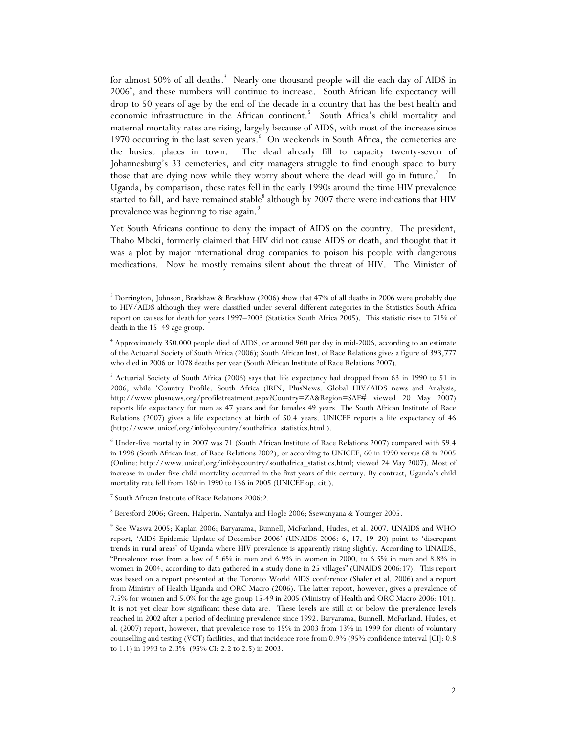for almost 50% of all deaths.<sup>3</sup> Nearly one thousand people will die each day of AIDS in 2006<sup>4</sup>, and these numbers will continue to increase. South African life expectancy will drop to 50 years of age by the end of the decade in a country that has the best health and economic infrastructure in the African continent.<sup>5</sup> South Africa's child mortality and maternal mortality rates are rising, largely because of AIDS, with most of the increase since 1970 occurring in the last seven years.<sup>6</sup> On weekends in South Africa, the cemeteries are the busiest places in town. The dead already fill to capacity twenty-seven of Johannesburg's 33 cemeteries, and city managers struggle to find enough space to bury those that are dying now while they worry about where the dead will go in future.<sup>7</sup> In Uganda, by comparison, these rates fell in the early 1990s around the time HIV prevalence started to fall, and have remained stable $^8$  although by 2007 there were indications that HIV prevalence was beginning to rise again. $^9$ 

Yet South Africans continue to deny the impact of AIDS on the country. The president, Thabo Mbeki, formerly claimed that HIV did not cause AIDS or death, and thought that it was a plot by major international drug companies to poison his people with dangerous medications. Now he mostly remains silent about the threat of HIV. The Minister of

7 South African Institute of Race Relations 2006:2.

 $\overline{a}$ 

<sup>8</sup> Beresford 2006; Green, Halperin, Nantulya and Hogle 2006; Ssewanyana & Younger 2005.

<sup>&</sup>lt;sup>3</sup> Dorrington, Johnson, Bradshaw & Bradshaw (2006) show that 47% of all deaths in 2006 were probably due to HIV/AIDS although they were classified under several different categories in the Statistics South Africa report on causes for death for years 1997–2003 (Statistics South Africa 2005). This statistic rises to 71% of death in the 15–49 age group.

<sup>4</sup> Approximately 350,000 people died of AIDS, or around 960 per day in mid-2006, according to an estimate of the Actuarial Society of South Africa (2006); South African Inst. of Race Relations gives a figure of 393,777 who died in 2006 or 1078 deaths per year (South African Institute of Race Relations 2007).

<sup>&</sup>lt;sup>5</sup> Actuarial Society of South Africa (2006) says that life expectancy had dropped from 63 in 1990 to 51 in 2006, while 'Country Profile: South Africa (IRIN, PlusNews: Global HIV/AIDS news and Analysis, http://www.plusnews.org/profiletreatment.aspx?Country=ZA&Region=SAF# viewed 20 May 2007) reports life expectancy for men as 47 years and for females 49 years. The South African Institute of Race Relations (2007) gives a life expectancy at birth of 50.4 years. UNICEF reports a life expectancy of 46 (http://www.unicef.org/infobycountry/southafrica\_statistics.html ).

<sup>&</sup>lt;sup>6</sup> Under-five mortality in 2007 was 71 (South African Institute of Race Relations 2007) compared with 59.4 in 1998 (South African Inst. of Race Relations 2002), or according to UNICEF, 60 in 1990 versus 68 in 2005 (Online: http://www.unicef.org/infobycountry/southafrica\_statistics.html; viewed 24 May 2007). Most of increase in under-five child mortality occurred in the first years of this century. By contrast, Uganda's child mortality rate fell from 160 in 1990 to 136 in 2005 (UNICEF op. cit.).

<sup>9</sup> See Waswa 2005; Kaplan 2006; Baryarama, Bunnell, McFarland, Hudes, et al. 2007. UNAIDS and WHO report, 'AIDS Epidemic Update of December 2006' (UNAIDS 2006: 6, 17, 19–20) point to 'discrepant trends in rural areas' of Uganda where HIV prevalence is apparently rising slightly. According to UNAIDS, "Prevalence rose from a low of 5.6% in men and 6.9% in women in 2000, to 6.5% in men and 8.8% in women in 2004, according to data gathered in a study done in 25 villages" (UNAIDS 2006:17). This report was based on a report presented at the Toronto World AIDS conference (Shafer et al. 2006) and a report from Ministry of Health Uganda and ORC Macro (2006). The latter report, however, gives a prevalence of 7.5% for women and 5.0% for the age group 15-49 in 2005 (Ministry of Health and ORC Macro 2006: 101). It is not yet clear how significant these data are. These levels are still at or below the prevalence levels reached in 2002 after a period of declining prevalence since 1992. Baryarama, Bunnell, McFarland, Hudes, et al. (2007) report, however, that prevalence rose to 15% in 2003 from 13% in 1999 for clients of voluntary counselling and testing (VCT) facilities, and that incidence rose from 0.9% (95% confidence interval [CI]: 0.8 to 1.1) in 1993 to 2.3% (95% CI: 2.2 to 2.5) in 2003.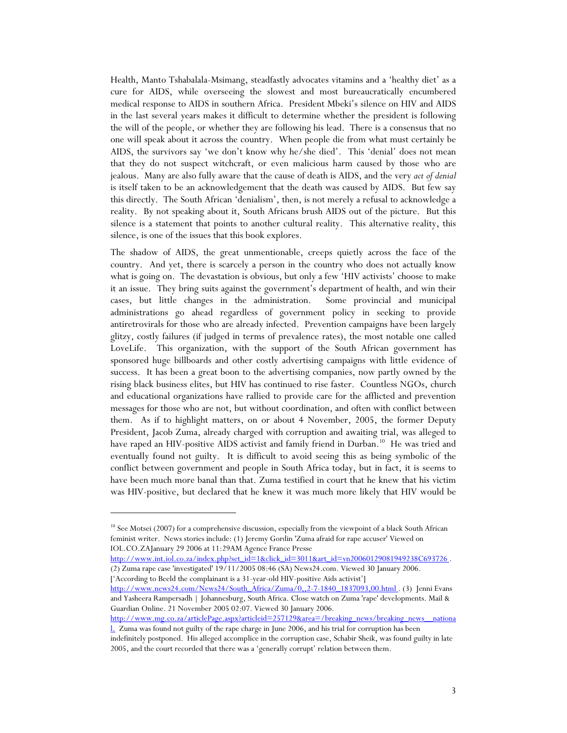Health, Manto Tshabalala-Msimang, steadfastly advocates vitamins and a 'healthy diet' as a cure for AIDS, while overseeing the slowest and most bureaucratically encumbered medical response to AIDS in southern Africa. President Mbeki's silence on HIV and AIDS in the last several years makes it difficult to determine whether the president is following the will of the people, or whether they are following his lead. There is a consensus that no one will speak about it across the country. When people die from what must certainly be AIDS, the survivors say 'we don't know why he/she died'. This 'denial' does not mean that they do not suspect witchcraft, or even malicious harm caused by those who are jealous. Many are also fully aware that the cause of death is AIDS, and the very *act of denial* is itself taken to be an acknowledgement that the death was caused by AIDS. But few say this directly. The South African 'denialism', then, is not merely a refusal to acknowledge a reality. By not speaking about it, South Africans brush AIDS out of the picture. But this silence is a statement that points to another cultural reality. This alternative reality, this silence, is one of the issues that this book explores.

The shadow of AIDS, the great unmentionable, creeps quietly across the face of the country. And yet, there is scarcely a person in the country who does not actually know what is going on. The devastation is obvious, but only a few 'HIV activists' choose to make it an issue. They bring suits against the government's department of health, and win their cases, but little changes in the administration. Some provincial and municipal administrations go ahead regardless of government policy in seeking to provide antiretrovirals for those who are already infected. Prevention campaigns have been largely glitzy, costly failures (if judged in terms of prevalence rates), the most notable one called LoveLife. This organization, with the support of the South African government has sponsored huge billboards and other costly advertising campaigns with little evidence of success. It has been a great boon to the advertising companies, now partly owned by the rising black business elites, but HIV has continued to rise faster. Countless NGOs, church and educational organizations have rallied to provide care for the afflicted and prevention messages for those who are not, but without coordination, and often with conflict between them. As if to highlight matters, on or about 4 November, 2005, the former Deputy President, Jacob Zuma, already charged with corruption and awaiting trial, was alleged to have raped an HIV-positive AIDS activist and family friend in Durban.<sup>10</sup> He was tried and eventually found not guilty. It is difficult to avoid seeing this as being symbolic of the conflict between government and people in South Africa today, but in fact, it is seems to have been much more banal than that. Zuma testified in court that he knew that his victim was HIV-positive, but declared that he knew it was much more likely that HIV would be

http://www.int.iol.co.za/index.php?set\_id=1&click\_id=3011&art\_id=vn20060129081949238C693726 (2) Zuma rape case 'investigated' 19/11/2005 08:46 (SA) News24.com. Viewed 30 January 2006.

['According to Beeld the complainant is a 31-year-old HIV-positive Aids activist']

 $\overline{a}$ 

http://www.mg.co.za/articlePage.aspx?articleid=257129&area=/breaking\_news/breaking\_news\_\_nationa l. Zuma was found not guilty of the rape charge in June 2006, and his trial for corruption has been

<sup>&</sup>lt;sup>10</sup> See Motsei (2007) for a comprehensive discussion, especially from the viewpoint of a black South African feminist writer. News stories include: (1) Jeremy Gordin 'Zuma afraid for rape accuser' Viewed on IOL.CO.ZAJanuary 29 2006 at 11:29AM Agence France Presse

http://www.news24.com/News24/South\_Africa/Zuma/0,,2-7-1840\_1837093,00.html . (3) Jenni Evans and Yasheera Rampersadh | Johannesburg, South Africa. Close watch on Zuma 'rape' developments. Mail & Guardian Online. 21 November 2005 02:07. Viewed 30 January 2006*.* 

indefinitely postponed. His alleged accomplice in the corruption case, Schabir Sheik, was found guilty in late 2005, and the court recorded that there was a 'generally corrupt' relation between them.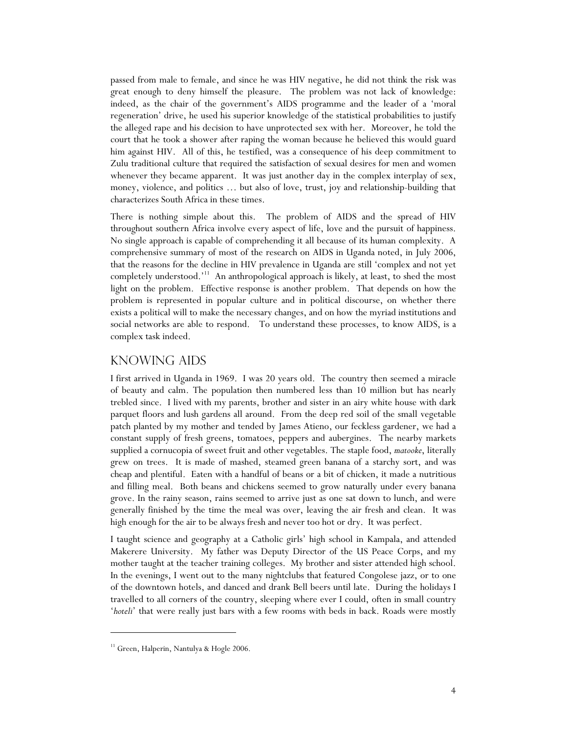passed from male to female, and since he was HIV negative, he did not think the risk was great enough to deny himself the pleasure. The problem was not lack of knowledge: indeed, as the chair of the government's AIDS programme and the leader of a 'moral regeneration' drive, he used his superior knowledge of the statistical probabilities to justify the alleged rape and his decision to have unprotected sex with her. Moreover, he told the court that he took a shower after raping the woman because he believed this would guard him against HIV. All of this, he testified, was a consequence of his deep commitment to Zulu traditional culture that required the satisfaction of sexual desires for men and women whenever they became apparent. It was just another day in the complex interplay of sex, money, violence, and politics … but also of love, trust, joy and relationship-building that characterizes South Africa in these times.

There is nothing simple about this. The problem of AIDS and the spread of HIV throughout southern Africa involve every aspect of life, love and the pursuit of happiness. No single approach is capable of comprehending it all because of its human complexity. A comprehensive summary of most of the research on AIDS in Uganda noted, in July 2006, that the reasons for the decline in HIV prevalence in Uganda are still 'complex and not yet completely understood.'11 An anthropological approach is likely, at least, to shed the most light on the problem. Effective response is another problem. That depends on how the problem is represented in popular culture and in political discourse, on whether there exists a political will to make the necessary changes, and on how the myriad institutions and social networks are able to respond. To understand these processes, to know AIDS, is a complex task indeed.

#### Knowing AIDS

I first arrived in Uganda in 1969. I was 20 years old. The country then seemed a miracle of beauty and calm. The population then numbered less than 10 million but has nearly trebled since. I lived with my parents, brother and sister in an airy white house with dark parquet floors and lush gardens all around. From the deep red soil of the small vegetable patch planted by my mother and tended by James Atieno, our feckless gardener, we had a constant supply of fresh greens, tomatoes, peppers and aubergines. The nearby markets supplied a cornucopia of sweet fruit and other vegetables. The staple food, *matooke*, literally grew on trees. It is made of mashed, steamed green banana of a starchy sort, and was cheap and plentiful. Eaten with a handful of beans or a bit of chicken, it made a nutritious and filling meal. Both beans and chickens seemed to grow naturally under every banana grove. In the rainy season, rains seemed to arrive just as one sat down to lunch, and were generally finished by the time the meal was over, leaving the air fresh and clean. It was high enough for the air to be always fresh and never too hot or dry. It was perfect.

I taught science and geography at a Catholic girls' high school in Kampala, and attended Makerere University. My father was Deputy Director of the US Peace Corps, and my mother taught at the teacher training colleges. My brother and sister attended high school. In the evenings, I went out to the many nightclubs that featured Congolese jazz, or to one of the downtown hotels, and danced and drank Bell beers until late. During the holidays I travelled to all corners of the country, sleeping where ever I could, often in small country '*hoteli*' that were really just bars with a few rooms with beds in back. Roads were mostly

<sup>&</sup>lt;sup>11</sup> Green, Halperin, Nantulya & Hogle 2006.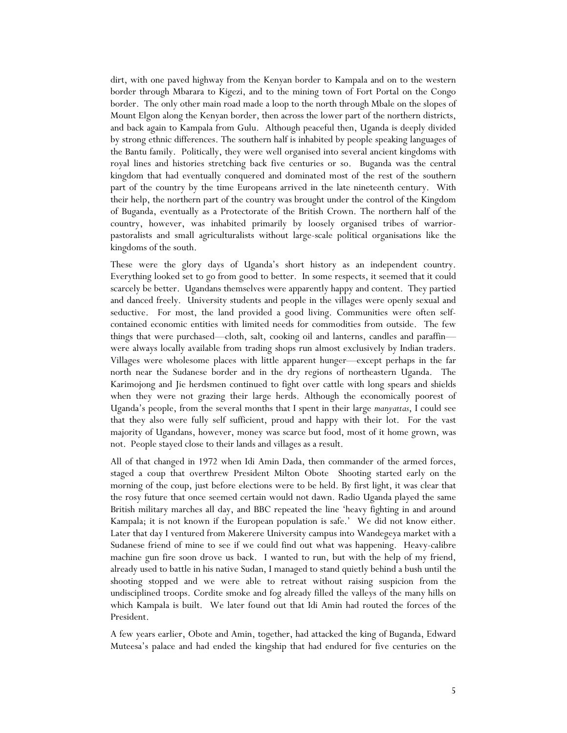dirt, with one paved highway from the Kenyan border to Kampala and on to the western border through Mbarara to Kigezi, and to the mining town of Fort Portal on the Congo border. The only other main road made a loop to the north through Mbale on the slopes of Mount Elgon along the Kenyan border, then across the lower part of the northern districts, and back again to Kampala from Gulu. Although peaceful then, Uganda is deeply divided by strong ethnic differences. The southern half is inhabited by people speaking languages of the Bantu family. Politically, they were well organised into several ancient kingdoms with royal lines and histories stretching back five centuries or so. Buganda was the central kingdom that had eventually conquered and dominated most of the rest of the southern part of the country by the time Europeans arrived in the late nineteenth century. With their help, the northern part of the country was brought under the control of the Kingdom of Buganda, eventually as a Protectorate of the British Crown. The northern half of the country, however, was inhabited primarily by loosely organised tribes of warriorpastoralists and small agriculturalists without large-scale political organisations like the kingdoms of the south.

These were the glory days of Uganda's short history as an independent country. Everything looked set to go from good to better. In some respects, it seemed that it could scarcely be better. Ugandans themselves were apparently happy and content. They partied and danced freely. University students and people in the villages were openly sexual and seductive. For most, the land provided a good living. Communities were often selfcontained economic entities with limited needs for commodities from outside. The few things that were purchased—cloth, salt, cooking oil and lanterns, candles and paraffin were always locally available from trading shops run almost exclusively by Indian traders. Villages were wholesome places with little apparent hunger—except perhaps in the far north near the Sudanese border and in the dry regions of northeastern Uganda. The Karimojong and Jie herdsmen continued to fight over cattle with long spears and shields when they were not grazing their large herds. Although the economically poorest of Uganda's people, from the several months that I spent in their large *manyattas*, I could see that they also were fully self sufficient, proud and happy with their lot. For the vast majority of Ugandans, however, money was scarce but food, most of it home grown, was not. People stayed close to their lands and villages as a result.

All of that changed in 1972 when Idi Amin Dada, then commander of the armed forces, staged a coup that overthrew President Milton Obote Shooting started early on the morning of the coup, just before elections were to be held. By first light, it was clear that the rosy future that once seemed certain would not dawn. Radio Uganda played the same British military marches all day, and BBC repeated the line 'heavy fighting in and around Kampala; it is not known if the European population is safe.' We did not know either. Later that day I ventured from Makerere University campus into Wandegeya market with a Sudanese friend of mine to see if we could find out what was happening. Heavy-calibre machine gun fire soon drove us back. I wanted to run, but with the help of my friend, already used to battle in his native Sudan, I managed to stand quietly behind a bush until the shooting stopped and we were able to retreat without raising suspicion from the undisciplined troops. Cordite smoke and fog already filled the valleys of the many hills on which Kampala is built. We later found out that Idi Amin had routed the forces of the President.

A few years earlier, Obote and Amin, together, had attacked the king of Buganda, Edward Muteesa's palace and had ended the kingship that had endured for five centuries on the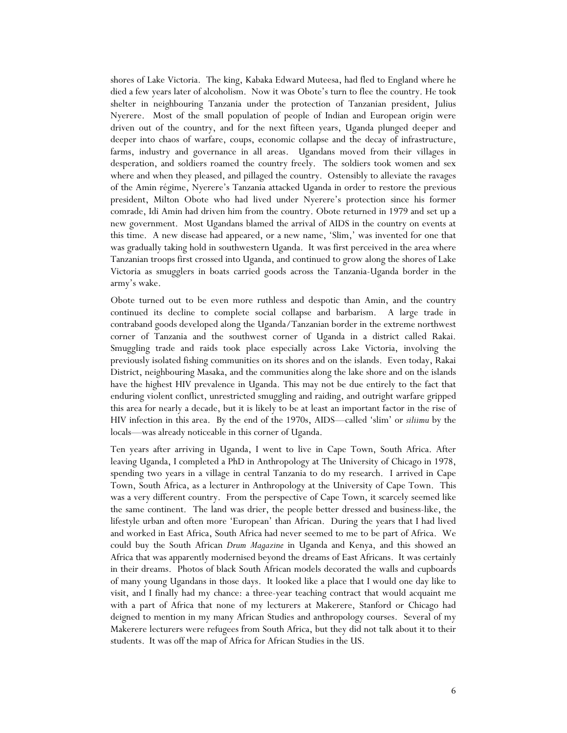shores of Lake Victoria. The king, Kabaka Edward Muteesa, had fled to England where he died a few years later of alcoholism. Now it was Obote's turn to flee the country. He took shelter in neighbouring Tanzania under the protection of Tanzanian president, Julius Nyerere. Most of the small population of people of Indian and European origin were driven out of the country, and for the next fifteen years, Uganda plunged deeper and deeper into chaos of warfare, coups, economic collapse and the decay of infrastructure, farms, industry and governance in all areas. Ugandans moved from their villages in desperation, and soldiers roamed the country freely. The soldiers took women and sex where and when they pleased, and pillaged the country. Ostensibly to alleviate the ravages of the Amin régime, Nyerere's Tanzania attacked Uganda in order to restore the previous president, Milton Obote who had lived under Nyerere's protection since his former comrade, Idi Amin had driven him from the country. Obote returned in 1979 and set up a new government. Most Ugandans blamed the arrival of AIDS in the country on events at this time. A new disease had appeared, or a new name, 'Slim,' was invented for one that was gradually taking hold in southwestern Uganda. It was first perceived in the area where Tanzanian troops first crossed into Uganda, and continued to grow along the shores of Lake Victoria as smugglers in boats carried goods across the Tanzania-Uganda border in the army's wake.

Obote turned out to be even more ruthless and despotic than Amin, and the country continued its decline to complete social collapse and barbarism. A large trade in contraband goods developed along the Uganda/Tanzanian border in the extreme northwest corner of Tanzania and the southwest corner of Uganda in a district called Rakai. Smuggling trade and raids took place especially across Lake Victoria, involving the previously isolated fishing communities on its shores and on the islands. Even today, Rakai District, neighbouring Masaka, and the communities along the lake shore and on the islands have the highest HIV prevalence in Uganda. This may not be due entirely to the fact that enduring violent conflict, unrestricted smuggling and raiding, and outright warfare gripped this area for nearly a decade, but it is likely to be at least an important factor in the rise of HIV infection in this area. By the end of the 1970s, AIDS—called 'slim' or *siliimu* by the locals—was already noticeable in this corner of Uganda.

Ten years after arriving in Uganda, I went to live in Cape Town, South Africa. After leaving Uganda, I completed a PhD in Anthropology at The University of Chicago in 1978, spending two years in a village in central Tanzania to do my research. I arrived in Cape Town, South Africa, as a lecturer in Anthropology at the University of Cape Town. This was a very different country. From the perspective of Cape Town, it scarcely seemed like the same continent. The land was drier, the people better dressed and business-like, the lifestyle urban and often more 'European' than African. During the years that I had lived and worked in East Africa, South Africa had never seemed to me to be part of Africa. We could buy the South African *Drum Magazine* in Uganda and Kenya, and this showed an Africa that was apparently modernised beyond the dreams of East Africans. It was certainly in their dreams. Photos of black South African models decorated the walls and cupboards of many young Ugandans in those days. It looked like a place that I would one day like to visit, and I finally had my chance: a three-year teaching contract that would acquaint me with a part of Africa that none of my lecturers at Makerere, Stanford or Chicago had deigned to mention in my many African Studies and anthropology courses. Several of my Makerere lecturers were refugees from South Africa, but they did not talk about it to their students. It was off the map of Africa for African Studies in the US.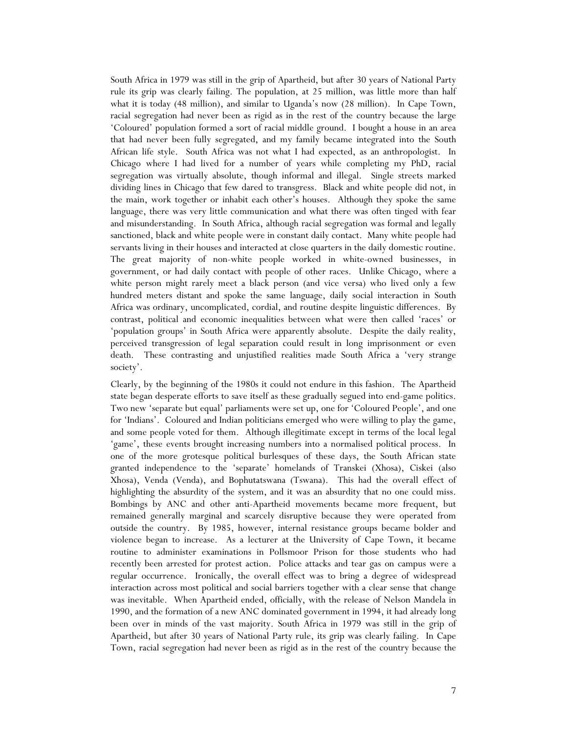South Africa in 1979 was still in the grip of Apartheid, but after 30 years of National Party rule its grip was clearly failing. The population, at 25 million, was little more than half what it is today (48 million), and similar to Uganda's now (28 million). In Cape Town, racial segregation had never been as rigid as in the rest of the country because the large 'Coloured' population formed a sort of racial middle ground. I bought a house in an area that had never been fully segregated, and my family became integrated into the South African life style. South Africa was not what I had expected, as an anthropologist. In Chicago where I had lived for a number of years while completing my PhD, racial segregation was virtually absolute, though informal and illegal. Single streets marked dividing lines in Chicago that few dared to transgress. Black and white people did not, in the main, work together or inhabit each other's houses. Although they spoke the same language, there was very little communication and what there was often tinged with fear and misunderstanding. In South Africa, although racial segregation was formal and legally sanctioned, black and white people were in constant daily contact. Many white people had servants living in their houses and interacted at close quarters in the daily domestic routine. The great majority of non-white people worked in white-owned businesses, in government, or had daily contact with people of other races. Unlike Chicago, where a white person might rarely meet a black person (and vice versa) who lived only a few hundred meters distant and spoke the same language, daily social interaction in South Africa was ordinary, uncomplicated, cordial, and routine despite linguistic differences. By contrast, political and economic inequalities between what were then called 'races' or 'population groups' in South Africa were apparently absolute. Despite the daily reality, perceived transgression of legal separation could result in long imprisonment or even death. These contrasting and unjustified realities made South Africa a 'very strange society'.

Clearly, by the beginning of the 1980s it could not endure in this fashion. The Apartheid state began desperate efforts to save itself as these gradually segued into end-game politics. Two new 'separate but equal' parliaments were set up, one for 'Coloured People', and one for 'Indians'. Coloured and Indian politicians emerged who were willing to play the game, and some people voted for them. Although illegitimate except in terms of the local legal 'game', these events brought increasing numbers into a normalised political process. In one of the more grotesque political burlesques of these days, the South African state granted independence to the 'separate' homelands of Transkei (Xhosa), Ciskei (also Xhosa), Venda (Venda), and Bophutatswana (Tswana). This had the overall effect of highlighting the absurdity of the system, and it was an absurdity that no one could miss. Bombings by ANC and other anti-Apartheid movements became more frequent, but remained generally marginal and scarcely disruptive because they were operated from outside the country. By 1985, however, internal resistance groups became bolder and violence began to increase. As a lecturer at the University of Cape Town, it became routine to administer examinations in Pollsmoor Prison for those students who had recently been arrested for protest action. Police attacks and tear gas on campus were a regular occurrence. Ironically, the overall effect was to bring a degree of widespread interaction across most political and social barriers together with a clear sense that change was inevitable. When Apartheid ended, officially, with the release of Nelson Mandela in 1990, and the formation of a new ANC dominated government in 1994, it had already long been over in minds of the vast majority. South Africa in 1979 was still in the grip of Apartheid, but after 30 years of National Party rule, its grip was clearly failing. In Cape Town, racial segregation had never been as rigid as in the rest of the country because the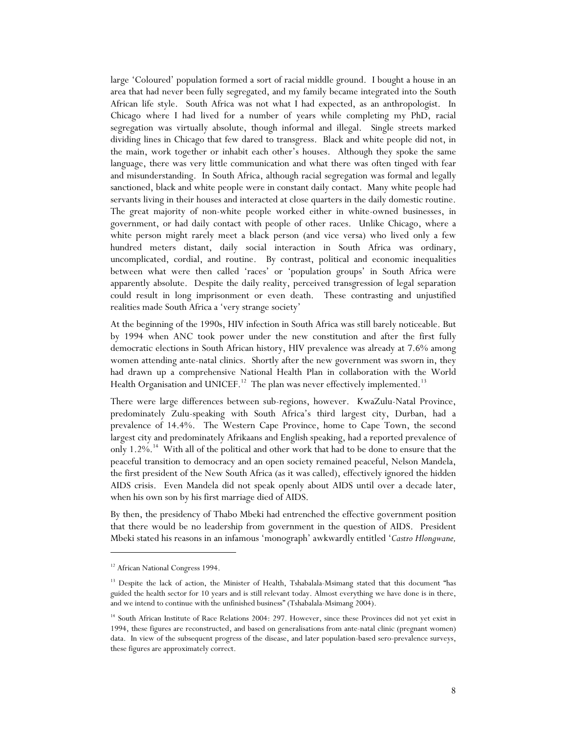large 'Coloured' population formed a sort of racial middle ground. I bought a house in an area that had never been fully segregated, and my family became integrated into the South African life style. South Africa was not what I had expected, as an anthropologist. In Chicago where I had lived for a number of years while completing my PhD, racial segregation was virtually absolute, though informal and illegal. Single streets marked dividing lines in Chicago that few dared to transgress. Black and white people did not, in the main, work together or inhabit each other's houses. Although they spoke the same language, there was very little communication and what there was often tinged with fear and misunderstanding. In South Africa, although racial segregation was formal and legally sanctioned, black and white people were in constant daily contact. Many white people had servants living in their houses and interacted at close quarters in the daily domestic routine. The great majority of non-white people worked either in white-owned businesses, in government, or had daily contact with people of other races. Unlike Chicago, where a white person might rarely meet a black person (and vice versa) who lived only a few hundred meters distant, daily social interaction in South Africa was ordinary, uncomplicated, cordial, and routine. By contrast, political and economic inequalities between what were then called 'races' or 'population groups' in South Africa were apparently absolute. Despite the daily reality, perceived transgression of legal separation could result in long imprisonment or even death. These contrasting and unjustified realities made South Africa a 'very strange society'

At the beginning of the 1990s, HIV infection in South Africa was still barely noticeable. But by 1994 when ANC took power under the new constitution and after the first fully democratic elections in South African history, HIV prevalence was already at 7.6% among women attending ante-natal clinics. Shortly after the new government was sworn in, they had drawn up a comprehensive National Health Plan in collaboration with the World Health Organisation and UNICEF.<sup>12</sup> The plan was never effectively implemented.<sup>13</sup>

There were large differences between sub-regions, however. KwaZulu-Natal Province, predominately Zulu-speaking with South Africa's third largest city, Durban, had a prevalence of 14.4%. The Western Cape Province, home to Cape Town, the second largest city and predominately Afrikaans and English speaking, had a reported prevalence of only 1.2%.<sup>14</sup> With all of the political and other work that had to be done to ensure that the peaceful transition to democracy and an open society remained peaceful, Nelson Mandela, the first president of the New South Africa (as it was called), effectively ignored the hidden AIDS crisis. Even Mandela did not speak openly about AIDS until over a decade later, when his own son by his first marriage died of AIDS.

By then, the presidency of Thabo Mbeki had entrenched the effective government position that there would be no leadership from government in the question of AIDS. President Mbeki stated his reasons in an infamous 'monograph' awkwardly entitled '*Castro Hlongwane,* 

<sup>&</sup>lt;sup>12</sup> African National Congress 1994.

<sup>&</sup>lt;sup>13</sup> Despite the lack of action, the Minister of Health, Tshabalala-Msimang stated that this document "has guided the health sector for 10 years and is still relevant today. Almost everything we have done is in there, and we intend to continue with the unfinished business" (Tshabalala-Msimang 2004).

<sup>&</sup>lt;sup>14</sup> South African Institute of Race Relations 2004: 297. However, since these Provinces did not yet exist in 1994, these figures are reconstructed, and based on generalisations from ante-natal clinic (pregnant women) data. In view of the subsequent progress of the disease, and later population-based sero-prevalence surveys, these figures are approximately correct.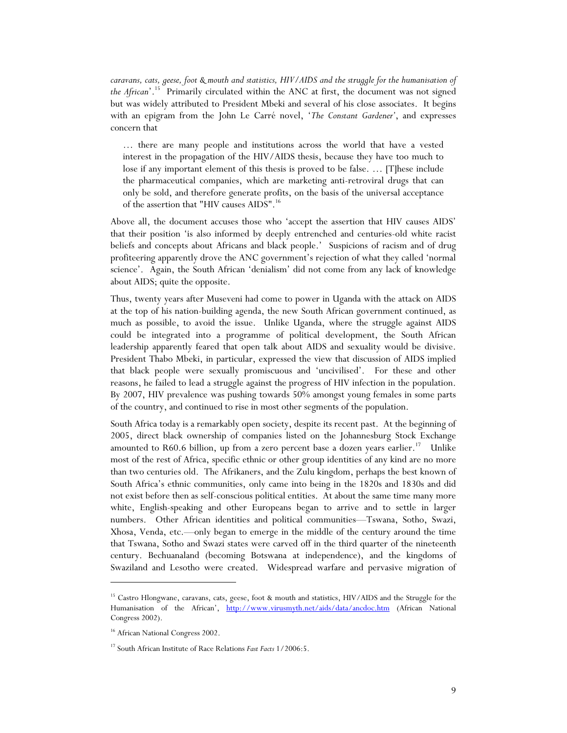*caravans, cats, geese, foot & mouth and statistics, HIV/AIDS and the struggle for the humanisation of the African*'.15 Primarily circulated within the ANC at first, the document was not signed but was widely attributed to President Mbeki and several of his close associates. It begins with an epigram from the John Le Carré novel, '*The Constant Gardener'*, and expresses concern that

… there are many people and institutions across the world that have a vested interest in the propagation of the HIV/AIDS thesis, because they have too much to lose if any important element of this thesis is proved to be false. … [T]hese include the pharmaceutical companies, which are marketing anti-retroviral drugs that can only be sold, and therefore generate profits, on the basis of the universal acceptance of the assertion that "HIV causes AIDS".<sup>16</sup>

Above all, the document accuses those who 'accept the assertion that HIV causes AIDS' that their position 'is also informed by deeply entrenched and centuries-old white racist beliefs and concepts about Africans and black people.' Suspicions of racism and of drug profiteering apparently drove the ANC government's rejection of what they called 'normal science'. Again, the South African 'denialism' did not come from any lack of knowledge about AIDS; quite the opposite.

Thus, twenty years after Museveni had come to power in Uganda with the attack on AIDS at the top of his nation-building agenda, the new South African government continued, as much as possible, to avoid the issue. Unlike Uganda, where the struggle against AIDS could be integrated into a programme of political development, the South African leadership apparently feared that open talk about AIDS and sexuality would be divisive. President Thabo Mbeki, in particular, expressed the view that discussion of AIDS implied that black people were sexually promiscuous and 'uncivilised'. For these and other reasons, he failed to lead a struggle against the progress of HIV infection in the population. By 2007, HIV prevalence was pushing towards 50% amongst young females in some parts of the country, and continued to rise in most other segments of the population.

South Africa today is a remarkably open society, despite its recent past. At the beginning of 2005, direct black ownership of companies listed on the Johannesburg Stock Exchange amounted to R60.6 billion, up from a zero percent base a dozen years earlier.<sup>17</sup> Unlike most of the rest of Africa, specific ethnic or other group identities of any kind are no more than two centuries old. The Afrikaners, and the Zulu kingdom, perhaps the best known of South Africa's ethnic communities, only came into being in the 1820s and 1830s and did not exist before then as self-conscious political entities. At about the same time many more white, English-speaking and other Europeans began to arrive and to settle in larger numbers. Other African identities and political communities—Tswana, Sotho, Swazi, Xhosa, Venda, etc.—only began to emerge in the middle of the century around the time that Tswana, Sotho and Swazi states were carved off in the third quarter of the nineteenth century. Bechuanaland (becoming Botswana at independence), and the kingdoms of Swaziland and Lesotho were created. Widespread warfare and pervasive migration of

<sup>&</sup>lt;sup>15</sup> Castro Hlongwane, caravans, cats, geese, foot & mouth and statistics, HIV/AIDS and the Struggle for the Humanisation of the African', http://www.virusmyth.net/aids/data/ancdoc.htm (African National Congress 2002).

<sup>&</sup>lt;sup>16</sup> African National Congress 2002.

<sup>17</sup> South African Institute of Race Relations *Fast Facts* 1/2006:5.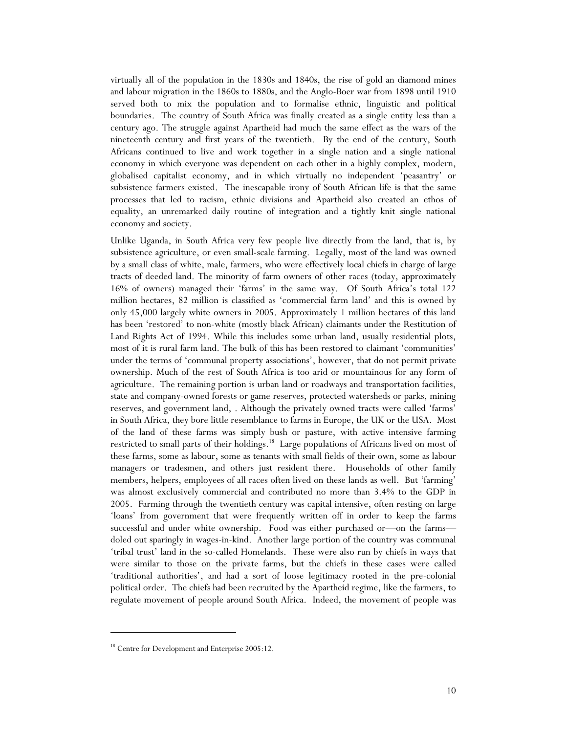virtually all of the population in the 1830s and 1840s, the rise of gold an diamond mines and labour migration in the 1860s to 1880s, and the Anglo-Boer war from 1898 until 1910 served both to mix the population and to formalise ethnic, linguistic and political boundaries. The country of South Africa was finally created as a single entity less than a century ago. The struggle against Apartheid had much the same effect as the wars of the nineteenth century and first years of the twentieth. By the end of the century, South Africans continued to live and work together in a single nation and a single national economy in which everyone was dependent on each other in a highly complex, modern, globalised capitalist economy, and in which virtually no independent 'peasantry' or subsistence farmers existed. The inescapable irony of South African life is that the same processes that led to racism, ethnic divisions and Apartheid also created an ethos of equality, an unremarked daily routine of integration and a tightly knit single national economy and society.

Unlike Uganda, in South Africa very few people live directly from the land, that is, by subsistence agriculture, or even small-scale farming. Legally, most of the land was owned by a small class of white, male, farmers, who were effectively local chiefs in charge of large tracts of deeded land. The minority of farm owners of other races (today, approximately 16% of owners) managed their 'farms' in the same way. Of South Africa's total 122 million hectares, 82 million is classified as 'commercial farm land' and this is owned by only 45,000 largely white owners in 2005. Approximately 1 million hectares of this land has been 'restored' to non-white (mostly black African) claimants under the Restitution of Land Rights Act of 1994. While this includes some urban land, usually residential plots, most of it is rural farm land. The bulk of this has been restored to claimant 'communities' under the terms of 'communal property associations', however, that do not permit private ownership. Much of the rest of South Africa is too arid or mountainous for any form of agriculture. The remaining portion is urban land or roadways and transportation facilities, state and company-owned forests or game reserves, protected watersheds or parks, mining reserves, and government land, . Although the privately owned tracts were called 'farms' in South Africa, they bore little resemblance to farms in Europe, the UK or the USA. Most of the land of these farms was simply bush or pasture, with active intensive farming restricted to small parts of their holdings.<sup>18</sup> Large populations of Africans lived on most of these farms, some as labour, some as tenants with small fields of their own, some as labour managers or tradesmen, and others just resident there. Households of other family members, helpers, employees of all races often lived on these lands as well. But 'farming' was almost exclusively commercial and contributed no more than 3.4% to the GDP in 2005. Farming through the twentieth century was capital intensive, often resting on large 'loans' from government that were frequently written off in order to keep the farms successful and under white ownership. Food was either purchased or—on the farms doled out sparingly in wages-in-kind. Another large portion of the country was communal 'tribal trust' land in the so-called Homelands. These were also run by chiefs in ways that were similar to those on the private farms, but the chiefs in these cases were called 'traditional authorities', and had a sort of loose legitimacy rooted in the pre-colonial political order. The chiefs had been recruited by the Apartheid regime, like the farmers, to regulate movement of people around South Africa. Indeed, the movement of people was

<sup>&</sup>lt;sup>18</sup> Centre for Development and Enterprise 2005:12.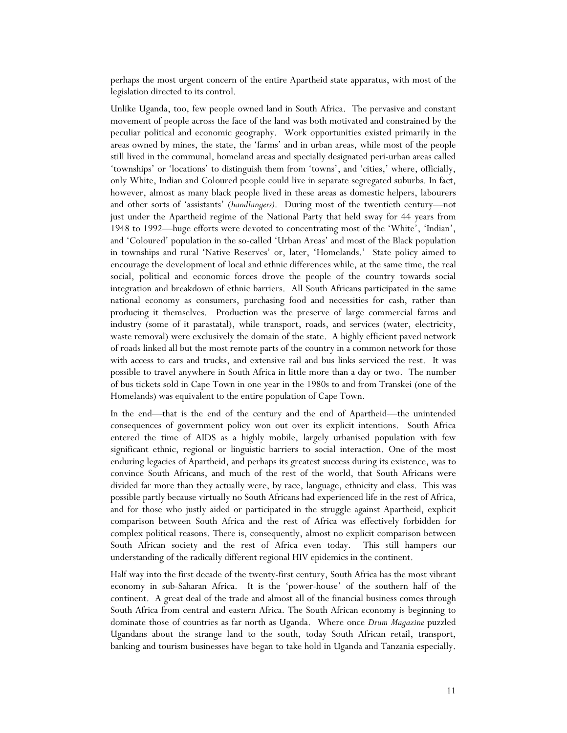perhaps the most urgent concern of the entire Apartheid state apparatus, with most of the legislation directed to its control.

Unlike Uganda, too, few people owned land in South Africa. The pervasive and constant movement of people across the face of the land was both motivated and constrained by the peculiar political and economic geography. Work opportunities existed primarily in the areas owned by mines, the state, the 'farms' and in urban areas, while most of the people still lived in the communal, homeland areas and specially designated peri-urban areas called 'townships' or 'locations' to distinguish them from 'towns', and 'cities,' where, officially, only White, Indian and Coloured people could live in separate segregated suburbs. In fact, however, almost as many black people lived in these areas as domestic helpers, labourers and other sorts of 'assistants' (*handlangers)*. During most of the twentieth century—not just under the Apartheid regime of the National Party that held sway for 44 years from 1948 to 1992—huge efforts were devoted to concentrating most of the 'White', 'Indian', and 'Coloured' population in the so-called 'Urban Areas' and most of the Black population in townships and rural 'Native Reserves' or, later, 'Homelands.' State policy aimed to encourage the development of local and ethnic differences while, at the same time, the real social, political and economic forces drove the people of the country towards social integration and breakdown of ethnic barriers. All South Africans participated in the same national economy as consumers, purchasing food and necessities for cash, rather than producing it themselves. Production was the preserve of large commercial farms and industry (some of it parastatal), while transport, roads, and services (water, electricity, waste removal) were exclusively the domain of the state. A highly efficient paved network of roads linked all but the most remote parts of the country in a common network for those with access to cars and trucks, and extensive rail and bus links serviced the rest. It was possible to travel anywhere in South Africa in little more than a day or two. The number of bus tickets sold in Cape Town in one year in the 1980s to and from Transkei (one of the Homelands) was equivalent to the entire population of Cape Town.

In the end—that is the end of the century and the end of Apartheid—the unintended consequences of government policy won out over its explicit intentions. South Africa entered the time of AIDS as a highly mobile, largely urbanised population with few significant ethnic, regional or linguistic barriers to social interaction. One of the most enduring legacies of Apartheid, and perhaps its greatest success during its existence, was to convince South Africans, and much of the rest of the world, that South Africans were divided far more than they actually were, by race, language, ethnicity and class. This was possible partly because virtually no South Africans had experienced life in the rest of Africa, and for those who justly aided or participated in the struggle against Apartheid, explicit comparison between South Africa and the rest of Africa was effectively forbidden for complex political reasons. There is, consequently, almost no explicit comparison between South African society and the rest of Africa even today. This still hampers our understanding of the radically different regional HIV epidemics in the continent.

Half way into the first decade of the twenty-first century, South Africa has the most vibrant economy in sub-Saharan Africa. It is the 'power-house' of the southern half of the continent. A great deal of the trade and almost all of the financial business comes through South Africa from central and eastern Africa. The South African economy is beginning to dominate those of countries as far north as Uganda. Where once *Drum Magazine* puzzled Ugandans about the strange land to the south, today South African retail, transport, banking and tourism businesses have began to take hold in Uganda and Tanzania especially.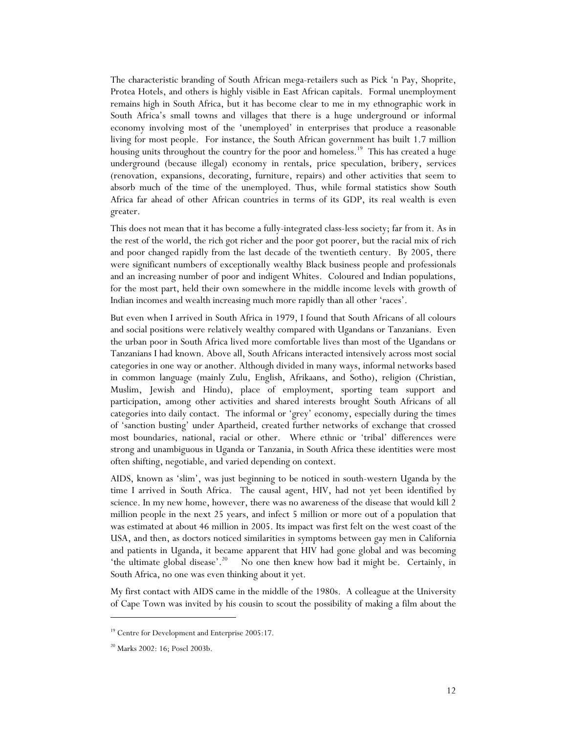The characteristic branding of South African mega-retailers such as Pick 'n Pay, Shoprite, Protea Hotels, and others is highly visible in East African capitals. Formal unemployment remains high in South Africa, but it has become clear to me in my ethnographic work in South Africa's small towns and villages that there is a huge underground or informal economy involving most of the 'unemployed' in enterprises that produce a reasonable living for most people. For instance, the South African government has built 1.7 million housing units throughout the country for the poor and homeless.<sup>19</sup> This has created a huge underground (because illegal) economy in rentals, price speculation, bribery, services (renovation, expansions, decorating, furniture, repairs) and other activities that seem to absorb much of the time of the unemployed. Thus, while formal statistics show South Africa far ahead of other African countries in terms of its GDP, its real wealth is even greater.

This does not mean that it has become a fully-integrated class-less society; far from it. As in the rest of the world, the rich got richer and the poor got poorer, but the racial mix of rich and poor changed rapidly from the last decade of the twentieth century. By 2005, there were significant numbers of exceptionally wealthy Black business people and professionals and an increasing number of poor and indigent Whites. Coloured and Indian populations, for the most part, held their own somewhere in the middle income levels with growth of Indian incomes and wealth increasing much more rapidly than all other 'races'.

But even when I arrived in South Africa in 1979, I found that South Africans of all colours and social positions were relatively wealthy compared with Ugandans or Tanzanians. Even the urban poor in South Africa lived more comfortable lives than most of the Ugandans or Tanzanians I had known. Above all, South Africans interacted intensively across most social categories in one way or another. Although divided in many ways, informal networks based in common language (mainly Zulu, English, Afrikaans, and Sotho), religion (Christian, Muslim, Jewish and Hindu), place of employment, sporting team support and participation, among other activities and shared interests brought South Africans of all categories into daily contact. The informal or 'grey' economy, especially during the times of 'sanction busting' under Apartheid, created further networks of exchange that crossed most boundaries, national, racial or other. Where ethnic or 'tribal' differences were strong and unambiguous in Uganda or Tanzania, in South Africa these identities were most often shifting, negotiable, and varied depending on context.

AIDS, known as 'slim', was just beginning to be noticed in south-western Uganda by the time I arrived in South Africa. The causal agent, HIV, had not yet been identified by science. In my new home, however, there was no awareness of the disease that would kill 2 million people in the next 25 years, and infect 5 million or more out of a population that was estimated at about 46 million in 2005. Its impact was first felt on the west coast of the USA, and then, as doctors noticed similarities in symptoms between gay men in California and patients in Uganda, it became apparent that HIV had gone global and was becoming 'the ultimate global disease'.<sup>20</sup> No one then knew how bad it might be. Certainly, in South Africa, no one was even thinking about it yet.

My first contact with AIDS came in the middle of the 1980s. A colleague at the University of Cape Town was invited by his cousin to scout the possibility of making a film about the

<sup>19</sup> Centre for Development and Enterprise 2005:17.

<sup>20</sup> Marks 2002: 16; Posel 2003b.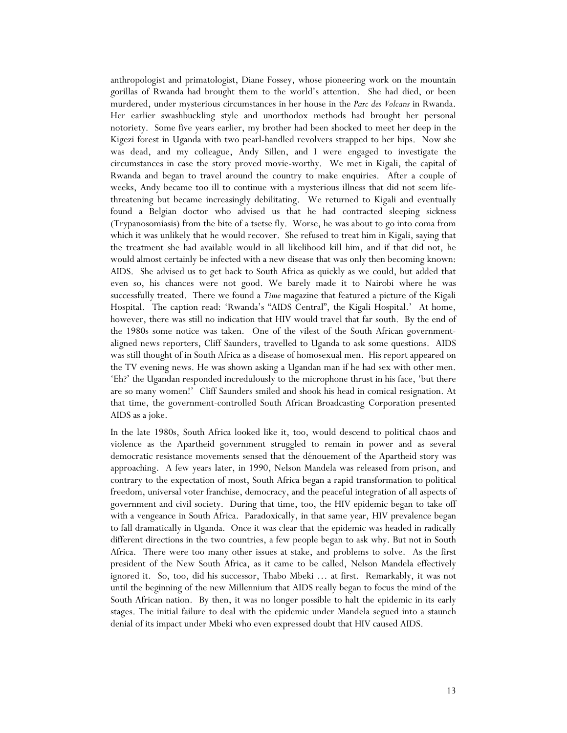anthropologist and primatologist, Diane Fossey, whose pioneering work on the mountain gorillas of Rwanda had brought them to the world's attention. She had died, or been murdered, under mysterious circumstances in her house in the *Parc des Volcans* in Rwanda. Her earlier swashbuckling style and unorthodox methods had brought her personal notoriety. Some five years earlier, my brother had been shocked to meet her deep in the Kigezi forest in Uganda with two pearl-handled revolvers strapped to her hips. Now she was dead, and my colleague, Andy Sillen, and I were engaged to investigate the circumstances in case the story proved movie-worthy. We met in Kigali, the capital of Rwanda and began to travel around the country to make enquiries. After a couple of weeks, Andy became too ill to continue with a mysterious illness that did not seem lifethreatening but became increasingly debilitating. We returned to Kigali and eventually found a Belgian doctor who advised us that he had contracted sleeping sickness (Trypanosomiasis) from the bite of a tsetse fly. Worse, he was about to go into coma from which it was unlikely that he would recover. She refused to treat him in Kigali, saying that the treatment she had available would in all likelihood kill him, and if that did not, he would almost certainly be infected with a new disease that was only then becoming known: AIDS. She advised us to get back to South Africa as quickly as we could, but added that even so, his chances were not good. We barely made it to Nairobi where he was successfully treated. There we found a *Time* magazine that featured a picture of the Kigali Hospital. The caption read: 'Rwanda's "AIDS Central", the Kigali Hospital.' At home, however, there was still no indication that HIV would travel that far south. By the end of the 1980s some notice was taken. One of the vilest of the South African governmentaligned news reporters, Cliff Saunders, travelled to Uganda to ask some questions. AIDS was still thought of in South Africa as a disease of homosexual men. His report appeared on the TV evening news. He was shown asking a Ugandan man if he had sex with other men. 'Eh?' the Ugandan responded incredulously to the microphone thrust in his face, 'but there are so many women!' Cliff Saunders smiled and shook his head in comical resignation. At that time, the government-controlled South African Broadcasting Corporation presented AIDS as a joke.

In the late 1980s, South Africa looked like it, too, would descend to political chaos and violence as the Apartheid government struggled to remain in power and as several democratic resistance movements sensed that the dénouement of the Apartheid story was approaching. A few years later, in 1990, Nelson Mandela was released from prison, and contrary to the expectation of most, South Africa began a rapid transformation to political freedom, universal voter franchise, democracy, and the peaceful integration of all aspects of government and civil society. During that time, too, the HIV epidemic began to take off with a vengeance in South Africa. Paradoxically, in that same year, HIV prevalence began to fall dramatically in Uganda. Once it was clear that the epidemic was headed in radically different directions in the two countries, a few people began to ask why. But not in South Africa. There were too many other issues at stake, and problems to solve. As the first president of the New South Africa, as it came to be called, Nelson Mandela effectively ignored it. So, too, did his successor, Thabo Mbeki … at first. Remarkably, it was not until the beginning of the new Millennium that AIDS really began to focus the mind of the South African nation. By then, it was no longer possible to halt the epidemic in its early stages. The initial failure to deal with the epidemic under Mandela segued into a staunch denial of its impact under Mbeki who even expressed doubt that HIV caused AIDS.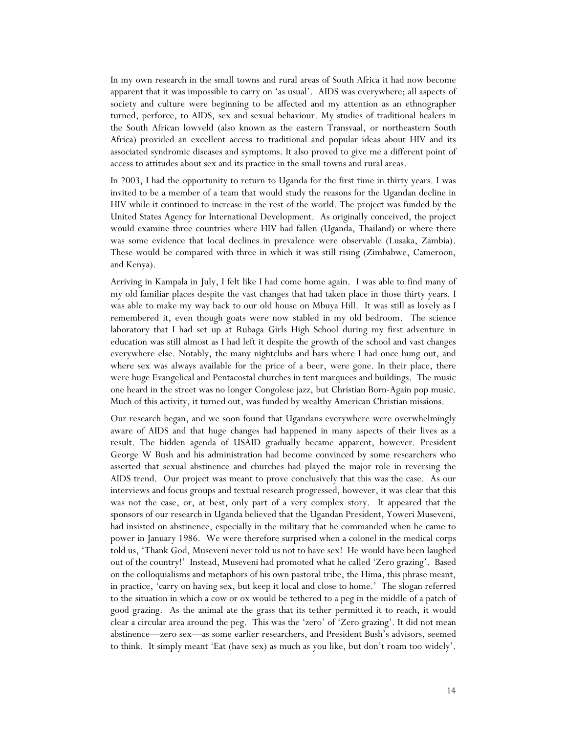In my own research in the small towns and rural areas of South Africa it had now become apparent that it was impossible to carry on 'as usual'. AIDS was everywhere; all aspects of society and culture were beginning to be affected and my attention as an ethnographer turned, perforce, to AIDS, sex and sexual behaviour. My studies of traditional healers in the South African lowveld (also known as the eastern Transvaal, or northeastern South Africa) provided an excellent access to traditional and popular ideas about HIV and its associated syndromic diseases and symptoms. It also proved to give me a different point of access to attitudes about sex and its practice in the small towns and rural areas.

In 2003, I had the opportunity to return to Uganda for the first time in thirty years. I was invited to be a member of a team that would study the reasons for the Ugandan decline in HIV while it continued to increase in the rest of the world. The project was funded by the United States Agency for International Development. As originally conceived, the project would examine three countries where HIV had fallen (Uganda, Thailand) or where there was some evidence that local declines in prevalence were observable (Lusaka, Zambia). These would be compared with three in which it was still rising (Zimbabwe, Cameroon, and Kenya).

Arriving in Kampala in July, I felt like I had come home again. I was able to find many of my old familiar places despite the vast changes that had taken place in those thirty years. I was able to make my way back to our old house on Mbuya Hill. It was still as lovely as I remembered it, even though goats were now stabled in my old bedroom. The science laboratory that I had set up at Rubaga Girls High School during my first adventure in education was still almost as I had left it despite the growth of the school and vast changes everywhere else. Notably, the many nightclubs and bars where I had once hung out, and where sex was always available for the price of a beer, were gone. In their place, there were huge Evangelical and Pentacostal churches in tent marquees and buildings. The music one heard in the street was no longer Congolese jazz, but Christian Born-Again pop music. Much of this activity, it turned out, was funded by wealthy American Christian missions.

Our research began, and we soon found that Ugandans everywhere were overwhelmingly aware of AIDS and that huge changes had happened in many aspects of their lives as a result. The hidden agenda of USAID gradually became apparent, however. President George W Bush and his administration had become convinced by some researchers who asserted that sexual abstinence and churches had played the major role in reversing the AIDS trend. Our project was meant to prove conclusively that this was the case. As our interviews and focus groups and textual research progressed, however, it was clear that this was not the case, or, at best, only part of a very complex story. It appeared that the sponsors of our research in Uganda believed that the Ugandan President, Yoweri Museveni, had insisted on abstinence, especially in the military that he commanded when he came to power in January 1986. We were therefore surprised when a colonel in the medical corps told us, 'Thank God, Museveni never told us not to have sex! He would have been laughed out of the country!' Instead, Museveni had promoted what he called 'Zero grazing'. Based on the colloquialisms and metaphors of his own pastoral tribe, the Hima, this phrase meant, in practice, 'carry on having sex, but keep it local and close to home.' The slogan referred to the situation in which a cow or ox would be tethered to a peg in the middle of a patch of good grazing. As the animal ate the grass that its tether permitted it to reach, it would clear a circular area around the peg. This was the 'zero' of 'Zero grazing'. It did not mean abstinence—zero sex—as some earlier researchers, and President Bush's advisors, seemed to think. It simply meant 'Eat (have sex) as much as you like, but don't roam too widely'.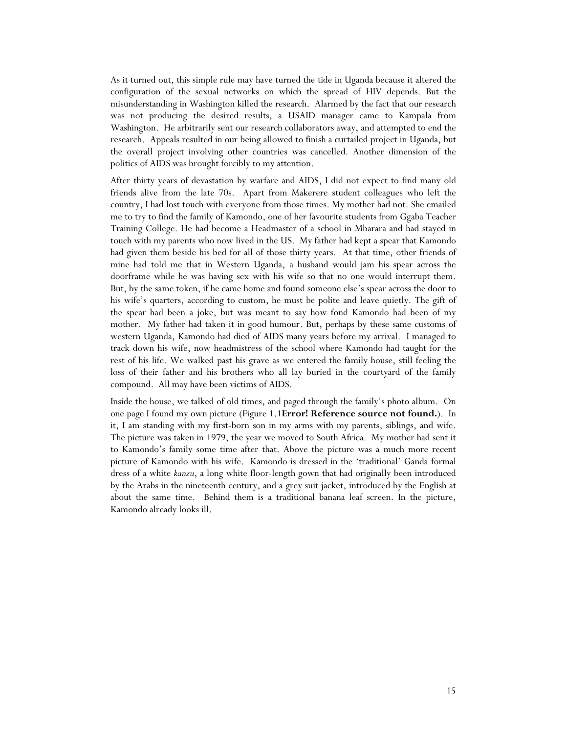As it turned out, this simple rule may have turned the tide in Uganda because it altered the configuration of the sexual networks on which the spread of HIV depends. But the misunderstanding in Washington killed the research. Alarmed by the fact that our research was not producing the desired results, a USAID manager came to Kampala from Washington. He arbitrarily sent our research collaborators away, and attempted to end the research. Appeals resulted in our being allowed to finish a curtailed project in Uganda, but the overall project involving other countries was cancelled. Another dimension of the politics of AIDS was brought forcibly to my attention.

After thirty years of devastation by warfare and AIDS, I did not expect to find many old friends alive from the late 70s. Apart from Makerere student colleagues who left the country, I had lost touch with everyone from those times. My mother had not. She emailed me to try to find the family of Kamondo, one of her favourite students from Ggaba Teacher Training College. He had become a Headmaster of a school in Mbarara and had stayed in touch with my parents who now lived in the US. My father had kept a spear that Kamondo had given them beside his bed for all of those thirty years. At that time, other friends of mine had told me that in Western Uganda, a husband would jam his spear across the doorframe while he was having sex with his wife so that no one would interrupt them. But, by the same token, if he came home and found someone else's spear across the door to his wife's quarters, according to custom, he must be polite and leave quietly. The gift of the spear had been a joke, but was meant to say how fond Kamondo had been of my mother. My father had taken it in good humour. But, perhaps by these same customs of western Uganda, Kamondo had died of AIDS many years before my arrival. I managed to track down his wife, now headmistress of the school where Kamondo had taught for the rest of his life. We walked past his grave as we entered the family house, still feeling the loss of their father and his brothers who all lay buried in the courtyard of the family compound. All may have been victims of AIDS.

Inside the house, we talked of old times, and paged through the family's photo album. On one page I found my own picture (Figure 1.1**Error! Reference source not found.**). In it, I am standing with my first-born son in my arms with my parents, siblings, and wife. The picture was taken in 1979, the year we moved to South Africa. My mother had sent it to Kamondo's family some time after that. Above the picture was a much more recent picture of Kamondo with his wife. Kamondo is dressed in the 'traditional' Ganda formal dress of a white *kanzu*, a long white floor-length gown that had originally been introduced by the Arabs in the nineteenth century, and a grey suit jacket, introduced by the English at about the same time. Behind them is a traditional banana leaf screen. In the picture, Kamondo already looks ill.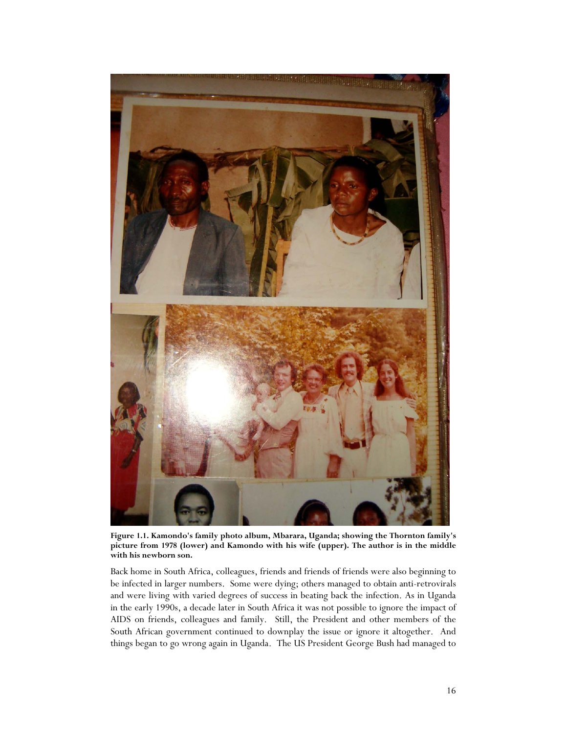

**Figure 1.1. Kamondo's family photo album, Mbarara, Uganda; showing the Thornton family's picture from 1978 (lower) and Kamondo with his wife (upper). The author is in the middle with his newborn son.** 

Back home in South Africa, colleagues, friends and friends of friends were also beginning to be infected in larger numbers. Some were dying; others managed to obtain anti-retrovirals and were living with varied degrees of success in beating back the infection. As in Uganda in the early 1990s, a decade later in South Africa it was not possible to ignore the impact of AIDS on friends, colleagues and family. Still, the President and other members of the South African government continued to downplay the issue or ignore it altogether. And things began to go wrong again in Uganda. The US President George Bush had managed to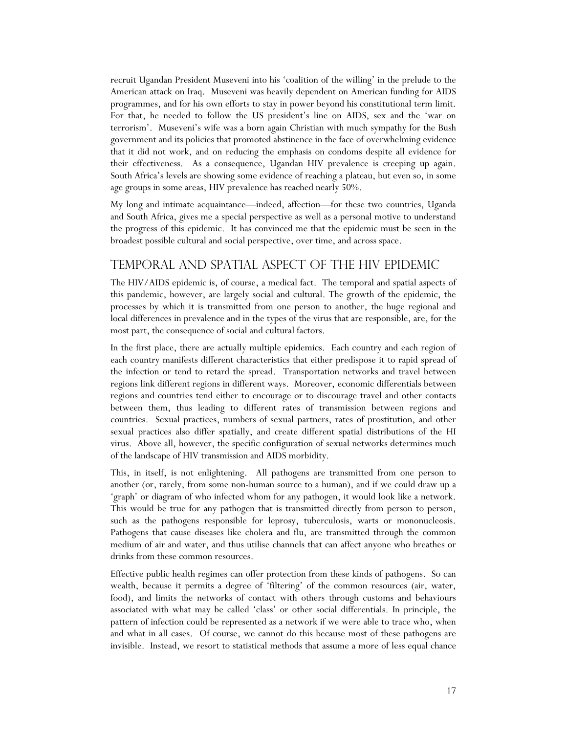recruit Ugandan President Museveni into his 'coalition of the willing' in the prelude to the American attack on Iraq. Museveni was heavily dependent on American funding for AIDS programmes, and for his own efforts to stay in power beyond his constitutional term limit. For that, he needed to follow the US president's line on AIDS, sex and the 'war on terrorism'. Museveni's wife was a born again Christian with much sympathy for the Bush government and its policies that promoted abstinence in the face of overwhelming evidence that it did not work, and on reducing the emphasis on condoms despite all evidence for their effectiveness. As a consequence, Ugandan HIV prevalence is creeping up again. South Africa's levels are showing some evidence of reaching a plateau, but even so, in some age groups in some areas, HIV prevalence has reached nearly 50%.

My long and intimate acquaintance—indeed, affection—for these two countries, Uganda and South Africa, gives me a special perspective as well as a personal motive to understand the progress of this epidemic. It has convinced me that the epidemic must be seen in the broadest possible cultural and social perspective, over time, and across space.

#### Temporal and Spatial Aspect of the HIV Epidemic

The HIV/AIDS epidemic is, of course, a medical fact. The temporal and spatial aspects of this pandemic, however, are largely social and cultural. The growth of the epidemic, the processes by which it is transmitted from one person to another, the huge regional and local differences in prevalence and in the types of the virus that are responsible, are, for the most part, the consequence of social and cultural factors.

In the first place, there are actually multiple epidemics. Each country and each region of each country manifests different characteristics that either predispose it to rapid spread of the infection or tend to retard the spread. Transportation networks and travel between regions link different regions in different ways. Moreover, economic differentials between regions and countries tend either to encourage or to discourage travel and other contacts between them, thus leading to different rates of transmission between regions and countries. Sexual practices, numbers of sexual partners, rates of prostitution, and other sexual practices also differ spatially, and create different spatial distributions of the HI virus. Above all, however, the specific configuration of sexual networks determines much of the landscape of HIV transmission and AIDS morbidity.

This, in itself, is not enlightening. All pathogens are transmitted from one person to another (or, rarely, from some non-human source to a human), and if we could draw up a 'graph' or diagram of who infected whom for any pathogen, it would look like a network. This would be true for any pathogen that is transmitted directly from person to person, such as the pathogens responsible for leprosy, tuberculosis, warts or mononucleosis. Pathogens that cause diseases like cholera and flu, are transmitted through the common medium of air and water, and thus utilise channels that can affect anyone who breathes or drinks from these common resources.

Effective public health regimes can offer protection from these kinds of pathogens. So can wealth, because it permits a degree of 'filtering' of the common resources (air, water, food), and limits the networks of contact with others through customs and behaviours associated with what may be called 'class' or other social differentials. In principle, the pattern of infection could be represented as a network if we were able to trace who, when and what in all cases. Of course, we cannot do this because most of these pathogens are invisible. Instead, we resort to statistical methods that assume a more of less equal chance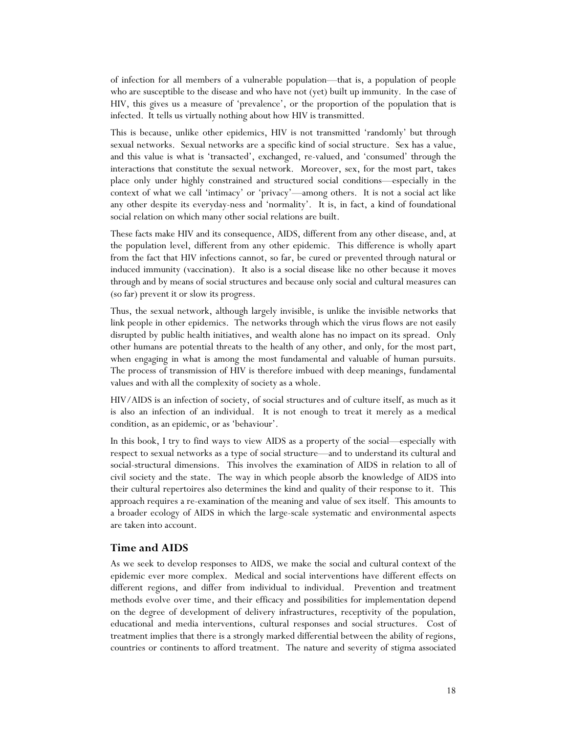of infection for all members of a vulnerable population—that is, a population of people who are susceptible to the disease and who have not (yet) built up immunity. In the case of HIV, this gives us a measure of 'prevalence', or the proportion of the population that is infected. It tells us virtually nothing about how HIV is transmitted.

This is because, unlike other epidemics, HIV is not transmitted 'randomly' but through sexual networks. Sexual networks are a specific kind of social structure. Sex has a value, and this value is what is 'transacted', exchanged, re-valued, and 'consumed' through the interactions that constitute the sexual network. Moreover, sex, for the most part, takes place only under highly constrained and structured social conditions—especially in the context of what we call 'intimacy' or 'privacy'—among others. It is not a social act like any other despite its everyday-ness and 'normality'. It is, in fact, a kind of foundational social relation on which many other social relations are built.

These facts make HIV and its consequence, AIDS, different from any other disease, and, at the population level, different from any other epidemic. This difference is wholly apart from the fact that HIV infections cannot, so far, be cured or prevented through natural or induced immunity (vaccination). It also is a social disease like no other because it moves through and by means of social structures and because only social and cultural measures can (so far) prevent it or slow its progress.

Thus, the sexual network, although largely invisible, is unlike the invisible networks that link people in other epidemics. The networks through which the virus flows are not easily disrupted by public health initiatives, and wealth alone has no impact on its spread. Only other humans are potential threats to the health of any other, and only, for the most part, when engaging in what is among the most fundamental and valuable of human pursuits. The process of transmission of HIV is therefore imbued with deep meanings, fundamental values and with all the complexity of society as a whole.

HIV/AIDS is an infection of society, of social structures and of culture itself, as much as it is also an infection of an individual. It is not enough to treat it merely as a medical condition, as an epidemic, or as 'behaviour'.

In this book, I try to find ways to view AIDS as a property of the social—especially with respect to sexual networks as a type of social structure—and to understand its cultural and social-structural dimensions. This involves the examination of AIDS in relation to all of civil society and the state. The way in which people absorb the knowledge of AIDS into their cultural repertoires also determines the kind and quality of their response to it. This approach requires a re-examination of the meaning and value of sex itself. This amounts to a broader ecology of AIDS in which the large-scale systematic and environmental aspects are taken into account.

#### **Time and AIDS**

As we seek to develop responses to AIDS, we make the social and cultural context of the epidemic ever more complex. Medical and social interventions have different effects on different regions, and differ from individual to individual. Prevention and treatment methods evolve over time, and their efficacy and possibilities for implementation depend on the degree of development of delivery infrastructures, receptivity of the population, educational and media interventions, cultural responses and social structures. Cost of treatment implies that there is a strongly marked differential between the ability of regions, countries or continents to afford treatment. The nature and severity of stigma associated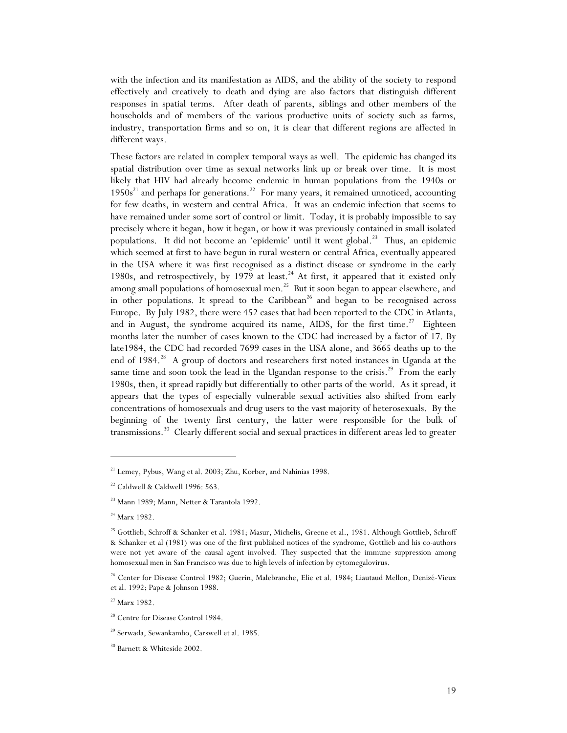with the infection and its manifestation as AIDS, and the ability of the society to respond effectively and creatively to death and dying are also factors that distinguish different responses in spatial terms. After death of parents, siblings and other members of the households and of members of the various productive units of society such as farms, industry, transportation firms and so on, it is clear that different regions are affected in different ways.

These factors are related in complex temporal ways as well. The epidemic has changed its spatial distribution over time as sexual networks link up or break over time. It is most likely that HIV had already become endemic in human populations from the 1940s or  $1950s<sup>21</sup>$  and perhaps for generations.<sup>22</sup> For many years, it remained unnoticed, accounting for few deaths, in western and central Africa. It was an endemic infection that seems to have remained under some sort of control or limit. Today, it is probably impossible to say precisely where it began, how it began, or how it was previously contained in small isolated populations. It did not become an 'epidemic' until it went global.<sup>23</sup> Thus, an epidemic which seemed at first to have begun in rural western or central Africa, eventually appeared in the USA where it was first recognised as a distinct disease or syndrome in the early 1980s, and retrospectively, by 1979 at least.<sup>24</sup> At first, it appeared that it existed only among small populations of homosexual men.<sup>25</sup> But it soon began to appear elsewhere, and in other populations. It spread to the Caribbean<sup>26</sup> and began to be recognised across Europe. By July 1982, there were 452 cases that had been reported to the CDC in Atlanta, and in August, the syndrome acquired its name, AIDS, for the first time.<sup>27</sup> Eighteen months later the number of cases known to the CDC had increased by a factor of 17. By late1984, the CDC had recorded 7699 cases in the USA alone, and 3665 deaths up to the end of  $1984<sup>28</sup>$ . A group of doctors and researchers first noted instances in Uganda at the same time and soon took the lead in the Ugandan response to the crisis.<sup>29</sup> From the early 1980s, then, it spread rapidly but differentially to other parts of the world. As it spread, it appears that the types of especially vulnerable sexual activities also shifted from early concentrations of homosexuals and drug users to the vast majority of heterosexuals. By the beginning of the twenty first century, the latter were responsible for the bulk of transmissions.30 Clearly different social and sexual practices in different areas led to greater

<sup>&</sup>lt;sup>21</sup> Lemey, Pybus, Wang et al. 2003; Zhu, Korber, and Nahinias 1998.

<sup>22</sup> Caldwell & Caldwell 1996: 563.

<sup>&</sup>lt;sup>23</sup> Mann 1989; Mann, Netter & Tarantola 1992.

<sup>&</sup>lt;sup>24</sup> Marx 1982.

<sup>&</sup>lt;sup>25</sup> Gottlieb, Schroff & Schanker et al. 1981; Masur, Michelis, Greene et al., 1981. Although Gottlieb, Schroff & Schanker et al (1981) was one of the first published notices of the syndrome, Gottlieb and his co-authors were not yet aware of the causal agent involved. They suspected that the immune suppression among homosexual men in San Francisco was due to high levels of infection by cytomegalovirus.

<sup>&</sup>lt;sup>26</sup> Center for Disease Control 1982; Guerin, Malebranche, Elie et al. 1984; Liautaud Mellon, Denizé-Vieux et al. 1992; Pape & Johnson 1988.

<sup>27</sup> Marx 1982.

<sup>&</sup>lt;sup>28</sup> Centre for Disease Control 1984.

<sup>29</sup> Serwada, Sewankambo, Carswell et al. 1985.

<sup>30</sup> Barnett & Whiteside 2002.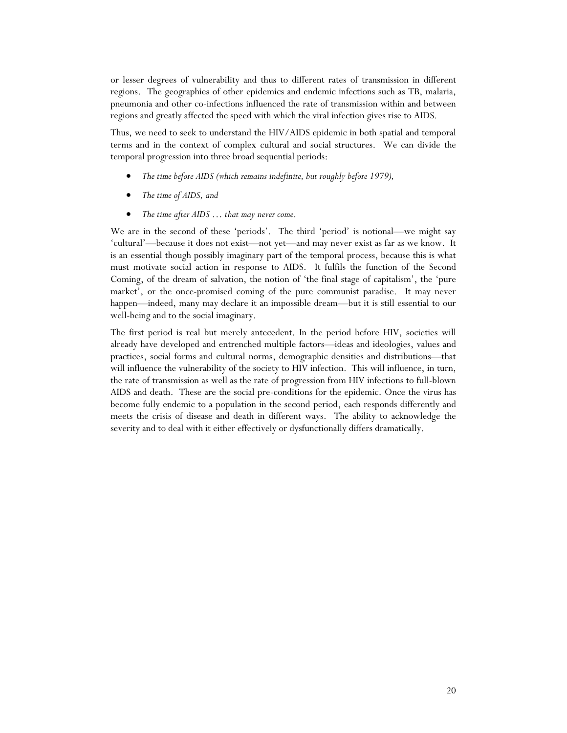or lesser degrees of vulnerability and thus to different rates of transmission in different regions. The geographies of other epidemics and endemic infections such as TB, malaria, pneumonia and other co-infections influenced the rate of transmission within and between regions and greatly affected the speed with which the viral infection gives rise to AIDS.

Thus, we need to seek to understand the HIV/AIDS epidemic in both spatial and temporal terms and in the context of complex cultural and social structures. We can divide the temporal progression into three broad sequential periods:

- *The time before AIDS (which remains indefinite, but roughly before 1979),*
- *The time of AIDS, and*
- *The time after AIDS* … *that may never come*.

We are in the second of these 'periods'. The third 'period' is notional—we might say 'cultural'—because it does not exist—not yet—and may never exist as far as we know. It is an essential though possibly imaginary part of the temporal process, because this is what must motivate social action in response to AIDS. It fulfils the function of the Second Coming, of the dream of salvation, the notion of 'the final stage of capitalism', the 'pure market', or the once-promised coming of the pure communist paradise. It may never happen—indeed, many may declare it an impossible dream—but it is still essential to our well-being and to the social imaginary.

The first period is real but merely antecedent. In the period before HIV, societies will already have developed and entrenched multiple factors—ideas and ideologies, values and practices, social forms and cultural norms, demographic densities and distributions—that will influence the vulnerability of the society to HIV infection. This will influence, in turn, the rate of transmission as well as the rate of progression from HIV infections to full-blown AIDS and death. These are the social pre-conditions for the epidemic. Once the virus has become fully endemic to a population in the second period, each responds differently and meets the crisis of disease and death in different ways. The ability to acknowledge the severity and to deal with it either effectively or dysfunctionally differs dramatically.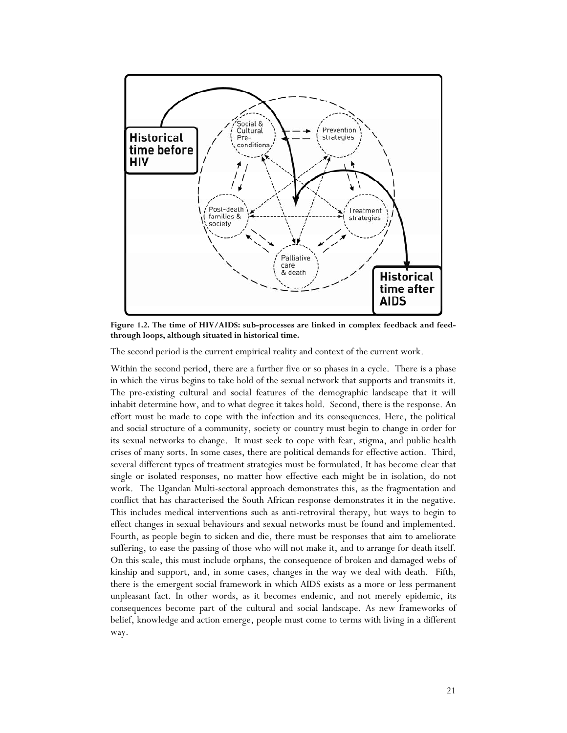

**Figure 1.2. The time of HIV/AIDS: sub-processes are linked in complex feedback and feedthrough loops, although situated in historical time.** 

The second period is the current empirical reality and context of the current work.

Within the second period, there are a further five or so phases in a cycle. There is a phase in which the virus begins to take hold of the sexual network that supports and transmits it. The pre-existing cultural and social features of the demographic landscape that it will inhabit determine how, and to what degree it takes hold. Second, there is the response. An effort must be made to cope with the infection and its consequences. Here, the political and social structure of a community, society or country must begin to change in order for its sexual networks to change. It must seek to cope with fear, stigma, and public health crises of many sorts. In some cases, there are political demands for effective action. Third, several different types of treatment strategies must be formulated. It has become clear that single or isolated responses, no matter how effective each might be in isolation, do not work. The Ugandan Multi-sectoral approach demonstrates this, as the fragmentation and conflict that has characterised the South African response demonstrates it in the negative. This includes medical interventions such as anti-retroviral therapy, but ways to begin to effect changes in sexual behaviours and sexual networks must be found and implemented. Fourth, as people begin to sicken and die, there must be responses that aim to ameliorate suffering, to ease the passing of those who will not make it, and to arrange for death itself. On this scale, this must include orphans, the consequence of broken and damaged webs of kinship and support, and, in some cases, changes in the way we deal with death. Fifth, there is the emergent social framework in which AIDS exists as a more or less permanent unpleasant fact. In other words, as it becomes endemic, and not merely epidemic, its consequences become part of the cultural and social landscape. As new frameworks of belief, knowledge and action emerge, people must come to terms with living in a different way.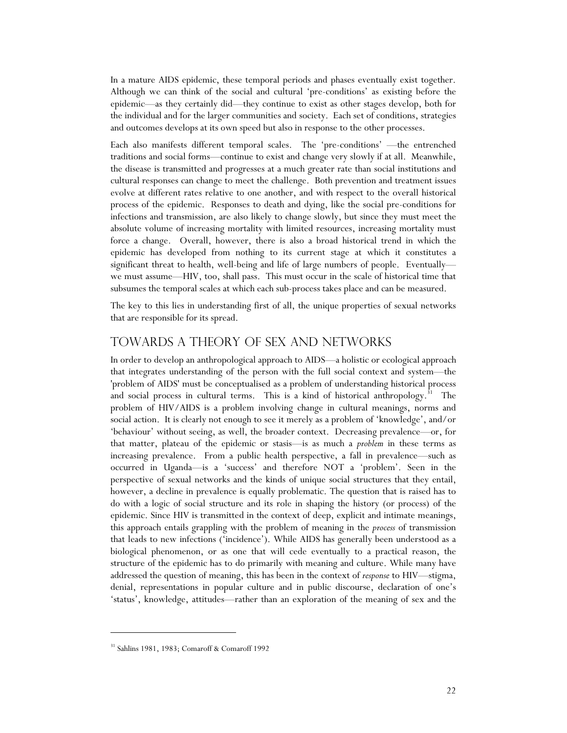In a mature AIDS epidemic, these temporal periods and phases eventually exist together. Although we can think of the social and cultural 'pre-conditions' as existing before the epidemic—as they certainly did—they continue to exist as other stages develop, both for the individual and for the larger communities and society. Each set of conditions, strategies and outcomes develops at its own speed but also in response to the other processes.

Each also manifests different temporal scales. The 'pre-conditions' —the entrenched traditions and social forms—continue to exist and change very slowly if at all. Meanwhile, the disease is transmitted and progresses at a much greater rate than social institutions and cultural responses can change to meet the challenge. Both prevention and treatment issues evolve at different rates relative to one another, and with respect to the overall historical process of the epidemic. Responses to death and dying, like the social pre-conditions for infections and transmission, are also likely to change slowly, but since they must meet the absolute volume of increasing mortality with limited resources, increasing mortality must force a change. Overall, however, there is also a broad historical trend in which the epidemic has developed from nothing to its current stage at which it constitutes a significant threat to health, well-being and life of large numbers of people. Eventually we must assume—HIV, too, shall pass. This must occur in the scale of historical time that subsumes the temporal scales at which each sub-process takes place and can be measured.

The key to this lies in understanding first of all, the unique properties of sexual networks that are responsible for its spread.

### Towards a theory of sex and networks

In order to develop an anthropological approach to AIDS—a holistic or ecological approach that integrates understanding of the person with the full social context and system—the 'problem of AIDS' must be conceptualised as a problem of understanding historical process and social process in cultural terms. This is a kind of historical anthropology.<sup>31</sup> The problem of HIV/AIDS is a problem involving change in cultural meanings, norms and social action. It is clearly not enough to see it merely as a problem of 'knowledge', and/or 'behaviour' without seeing, as well, the broader context. Decreasing prevalence—or, for that matter, plateau of the epidemic or stasis—is as much a *problem* in these terms as increasing prevalence. From a public health perspective, a fall in prevalence—such as occurred in Uganda—is a 'success' and therefore NOT a 'problem'. Seen in the perspective of sexual networks and the kinds of unique social structures that they entail, however, a decline in prevalence is equally problematic. The question that is raised has to do with a logic of social structure and its role in shaping the history (or process) of the epidemic. Since HIV is transmitted in the context of deep, explicit and intimate meanings, this approach entails grappling with the problem of meaning in the *process* of transmission that leads to new infections ('incidence'). While AIDS has generally been understood as a biological phenomenon, or as one that will cede eventually to a practical reason, the structure of the epidemic has to do primarily with meaning and culture. While many have addressed the question of meaning, this has been in the context of *response* to HIV—stigma, denial, representations in popular culture and in public discourse, declaration of one's 'status', knowledge, attitudes—rather than an exploration of the meaning of sex and the

<sup>31</sup> Sahlins 1981, 1983; Comaroff & Comaroff 1992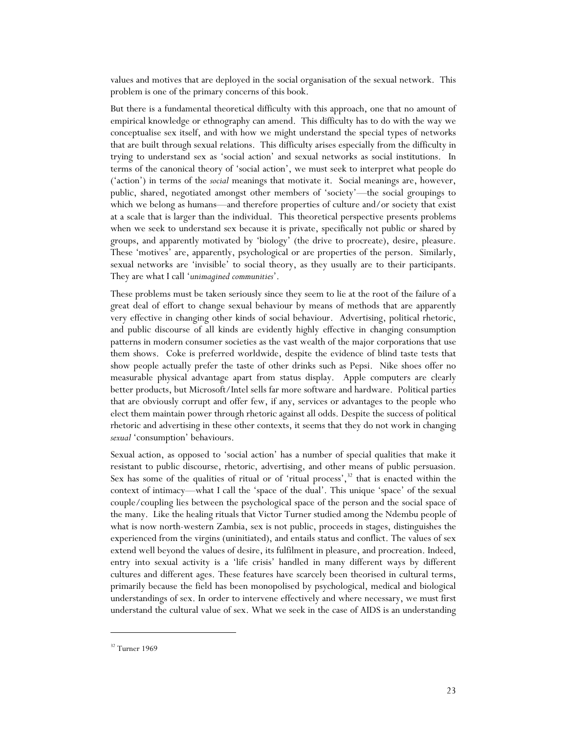values and motives that are deployed in the social organisation of the sexual network. This problem is one of the primary concerns of this book.

But there is a fundamental theoretical difficulty with this approach, one that no amount of empirical knowledge or ethnography can amend. This difficulty has to do with the way we conceptualise sex itself, and with how we might understand the special types of networks that are built through sexual relations. This difficulty arises especially from the difficulty in trying to understand sex as 'social action' and sexual networks as social institutions. In terms of the canonical theory of 'social action', we must seek to interpret what people do ('action') in terms of the *social* meanings that motivate it. Social meanings are, however, public, shared, negotiated amongst other members of 'society'—the social groupings to which we belong as humans—and therefore properties of culture and/or society that exist at a scale that is larger than the individual. This theoretical perspective presents problems when we seek to understand sex because it is private, specifically not public or shared by groups, and apparently motivated by 'biology' (the drive to procreate), desire, pleasure. These 'motives' are, apparently, psychological or are properties of the person. Similarly, sexual networks are 'invisible' to social theory, as they usually are to their participants. They are what I call '*unimagined communities*'.

These problems must be taken seriously since they seem to lie at the root of the failure of a great deal of effort to change sexual behaviour by means of methods that are apparently very effective in changing other kinds of social behaviour. Advertising, political rhetoric, and public discourse of all kinds are evidently highly effective in changing consumption patterns in modern consumer societies as the vast wealth of the major corporations that use them shows. Coke is preferred worldwide, despite the evidence of blind taste tests that show people actually prefer the taste of other drinks such as Pepsi. Nike shoes offer no measurable physical advantage apart from status display. Apple computers are clearly better products, but Microsoft/Intel sells far more software and hardware. Political parties that are obviously corrupt and offer few, if any, services or advantages to the people who elect them maintain power through rhetoric against all odds. Despite the success of political rhetoric and advertising in these other contexts, it seems that they do not work in changing *sexual* 'consumption' behaviours.

Sexual action, as opposed to 'social action' has a number of special qualities that make it resistant to public discourse, rhetoric, advertising, and other means of public persuasion. Sex has some of the qualities of ritual or of 'ritual process', $32$  that is enacted within the context of intimacy—what I call the 'space of the dual'. This unique 'space' of the sexual couple/coupling lies between the psychological space of the person and the social space of the many. Like the healing rituals that Victor Turner studied among the Ndembu people of what is now north-western Zambia, sex is not public, proceeds in stages, distinguishes the experienced from the virgins (uninitiated), and entails status and conflict. The values of sex extend well beyond the values of desire, its fulfilment in pleasure, and procreation. Indeed, entry into sexual activity is a 'life crisis' handled in many different ways by different cultures and different ages. These features have scarcely been theorised in cultural terms, primarily because the field has been monopolised by psychological, medical and biological understandings of sex. In order to intervene effectively and where necessary, we must first understand the cultural value of sex. What we seek in the case of AIDS is an understanding

 $32$  Turner 1969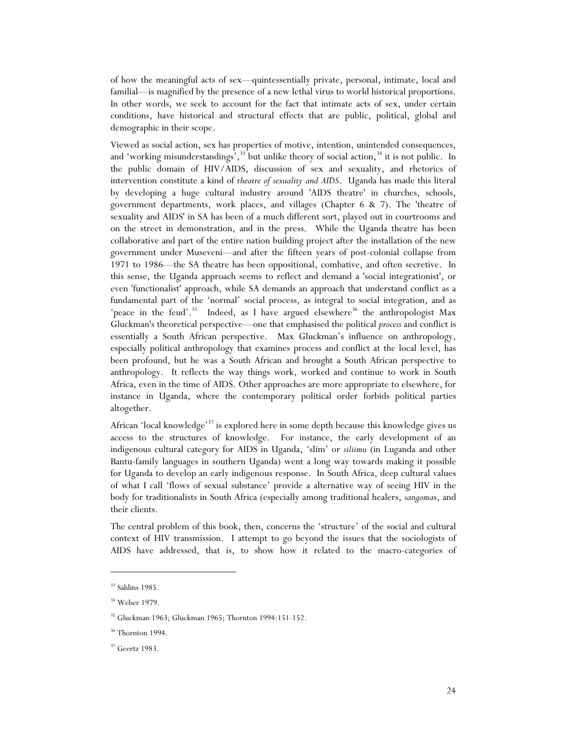of how the meaningful acts of sex—quintessentially private, personal, intimate, local and familial—is magnified by the presence of a new lethal virus to world historical proportions. In other words, we seek to account for the fact that intimate acts of sex, under certain conditions, have historical and structural effects that are public, political, global and demographic in their scope.

Viewed as social action, sex has properties of motive, intention, unintended consequences, and 'working misunderstandings', $33$  but unlike theory of social action, $34$  it is not public. In the public domain of HIV/AIDS, discussion of sex and sexuality, and rhetorics of intervention constitute a kind of *theatre of sexuality and AIDS*. Uganda has made this literal by developing a huge cultural industry around 'AIDS theatre' in churches, schools, government departments, work places, and villages (Chapter 6 & 7). The 'theatre of sexuality and AIDS' in SA has been of a much different sort, played out in courtrooms and on the street in demonstration, and in the press. While the Uganda theatre has been collaborative and part of the entire nation building project after the installation of the new government under Museveni—and after the fifteen years of post-colonial collapse from 1971 to 1986—the SA theatre has been oppositional, combative, and often secretive. In this sense, the Uganda approach seems to reflect and demand a 'social integrationist', or even 'functionalist' approach, while SA demands an approach that understand conflict as a fundamental part of the 'normal' social process, as integral to social integration, and as 'peace in the feud'.<sup>35</sup> Indeed, as I have argued elsewhere<sup>36</sup> the anthropologist Max Gluckman's theoretical perspective—one that emphasised the political *process* and conflict is essentially a South African perspective. Max Gluckman's influence on anthropology, especially political anthropology that examines process and conflict at the local level, has been profound, but he was a South African and brought a South African perspective to anthropology. It reflects the way things work, worked and continue to work in South Africa, even in the time of AIDS. Other approaches are more appropriate to elsewhere, for instance in Uganda, where the contemporary political order forbids political parties altogether.

African 'local knowledge'<sup>37</sup> is explored here in some depth because this knowledge gives us access to the structures of knowledge. For instance, the early development of an indigenous cultural category for AIDS in Uganda, 'slim' or *siliimu* (in Luganda and other Bantu-family languages in southern Uganda) went a long way towards making it possible for Uganda to develop an early indigenous response. In South Africa, deep cultural values of what I call 'flows of sexual substance' provide a alternative way of seeing HIV in the body for traditionalists in South Africa (especially among traditional healers, *sangoma*s, and their clients.

The central problem of this book, then, concerns the 'structure' of the social and cultural context of HIV transmission. I attempt to go beyond the issues that the sociologists of AIDS have addressed, that is, to show how it related to the macro-categories of

<sup>33</sup> Sahlins 1985.

<sup>&</sup>lt;sup>34</sup> Weber 1979.

<sup>35</sup> Gluckman 1963; Gluckman 1965; Thornton 1994:151-152.

 $36$  Thornton 1994.

 $37$  Geertz 1983.